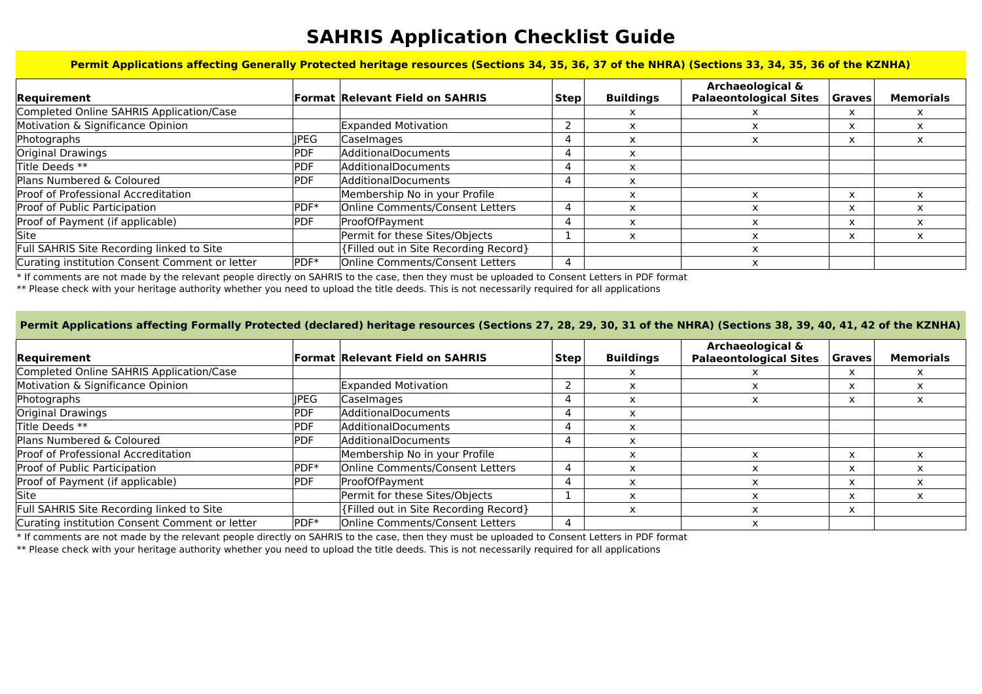## **SAHRIS Application Checklist Guide**

**Permit Applications affecting Generally Protected heritage resources (Sections 34, 35, 36, 37 of the NHRA) (Sections 33, 34, 35, 36 of the KZNHA)**

| Requirement                                    |             | <b>Format Relevant Field on SAHRIS</b> | <b>Step</b> | <b>Buildings</b> | <b>Archaeological &amp;</b><br><b>Palaeontological Sites</b> | <b>Graves</b> | <b>Memorials</b> |
|------------------------------------------------|-------------|----------------------------------------|-------------|------------------|--------------------------------------------------------------|---------------|------------------|
| Completed Online SAHRIS Application/Case       |             |                                        |             |                  |                                                              |               |                  |
| Motivation & Significance Opinion              |             | <b>Expanded Motivation</b>             |             |                  |                                                              | x             |                  |
| Photographs                                    | <b>IPEG</b> | Caselmages                             | 4           |                  | ᄎ                                                            | x             |                  |
| Original Drawings                              | PDF         | AdditionalDocuments                    | 4           |                  |                                                              |               |                  |
| Title Deeds **                                 | PDF         | AdditionalDocuments                    |             | x                |                                                              |               |                  |
| Plans Numbered & Coloured                      | <b>PDF</b>  | AdditionalDocuments                    | 4           |                  |                                                              |               |                  |
| Proof of Professional Accreditation            |             | Membership No in your Profile          |             |                  |                                                              | X             |                  |
| Proof of Public Participation                  | $PDF*$      | Online Comments/Consent Letters        | 4           | x                |                                                              | X             |                  |
| Proof of Payment (if applicable)               | PDF         | ProofOfPayment                         | 4           |                  |                                                              | X             |                  |
| Site                                           |             | Permit for these Sites/Objects         |             | x                |                                                              | $\times$      |                  |
| Full SAHRIS Site Recording linked to Site      |             | {Filled out in Site Recording Record}  |             |                  |                                                              |               |                  |
| Curating institution Consent Comment or letter | PDF*        | Online Comments/Consent Letters        | 4           |                  |                                                              |               |                  |

\* If comments are not made by the relevant people directly on SAHRIS to the case, then they must be uploaded to Consent Letters in PDF format

\*\* Please check with your heritage authority whether you need to upload the title deeds. This is not necessarily required for all applications

## **Permit Applications affecting Formally Protected (declared) heritage resources (Sections 27, 28, 29, 30, 31 of the NHRA) (Sections 38, 39, 40, 41, 42 of the KZNHA)**

| Requirement                                    |            | <b>Format Relevant Field on SAHRIS</b> | <b>Step</b>    | <b>Buildings</b> | Archaeological &<br><b>Palaeontological Sites</b> | <b>Graves</b> | <b>Memorials</b> |
|------------------------------------------------|------------|----------------------------------------|----------------|------------------|---------------------------------------------------|---------------|------------------|
| Completed Online SAHRIS Application/Case       |            |                                        |                |                  |                                                   | X             |                  |
| Motivation & Significance Opinion              |            | <b>Expanded Motivation</b>             |                |                  |                                                   | x             |                  |
| Photographs                                    | IPEG       | Caselmages                             |                |                  |                                                   | $\mathbf{x}$  |                  |
| Original Drawings                              | <b>PDF</b> | AdditionalDocuments                    |                | ᄉ                |                                                   |               |                  |
| Title Deeds **                                 | <b>PDF</b> | AdditionalDocuments                    | $\overline{a}$ | X                |                                                   |               |                  |
| Plans Numbered & Coloured                      | <b>PDF</b> | AdditionalDocuments                    |                | x                |                                                   |               |                  |
| Proof of Professional Accreditation            |            | Membership No in your Profile          |                | x                |                                                   | X             |                  |
| Proof of Public Participation                  | PDF*       | Online Comments/Consent Letters        |                | X                |                                                   | ᄉ             |                  |
| Proof of Payment (if applicable)               | <b>PDF</b> | ProofOfPayment                         | $\overline{a}$ | X                |                                                   | X             |                  |
| <b>Site</b>                                    |            | Permit for these Sites/Objects         |                | X                |                                                   | x             |                  |
| Full SAHRIS Site Recording linked to Site      |            | {Filled out in Site Recording Record}  |                | X                | x                                                 | x             |                  |
| Curating institution Consent Comment or letter | PDF*       | Online Comments/Consent Letters        | 4              |                  |                                                   |               |                  |

\* If comments are not made by the relevant people directly on SAHRIS to the case, then they must be uploaded to Consent Letters in PDF format

\*\* Please check with your heritage authority whether you need to upload the title deeds. This is not necessarily required for all applications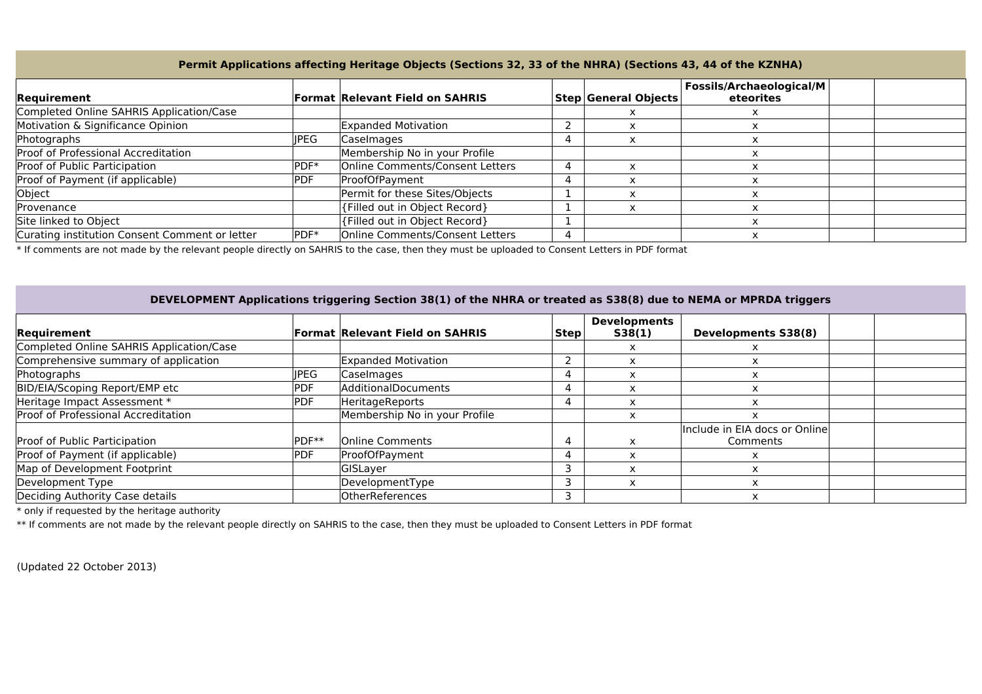## **Permit Applications affecting Heritage Objects (Sections 32, 33 of the NHRA) (Sections 43, 44 of the KZNHA)**

| Requirement                                    |            | <b>Format Relevant Field on SAHRIS</b> | <b>Step General Objects</b> | <b>Fossils/Archaeological/M</b><br>eteorites |  |
|------------------------------------------------|------------|----------------------------------------|-----------------------------|----------------------------------------------|--|
| Completed Online SAHRIS Application/Case       |            |                                        |                             |                                              |  |
| Motivation & Significance Opinion              |            | Expanded Motivation                    |                             |                                              |  |
| Photographs                                    | IPEG.      | Caselmages                             |                             |                                              |  |
| Proof of Professional Accreditation            |            | Membership No in your Profile          |                             |                                              |  |
| Proof of Public Participation                  | PDF*       | Online Comments/Consent Letters        |                             |                                              |  |
| Proof of Payment (if applicable)               | <b>PDF</b> | ProofOfPayment                         |                             |                                              |  |
| Object                                         |            | Permit for these Sites/Objects         |                             |                                              |  |
| Provenance                                     |            | {Filled out in Object Record}          |                             |                                              |  |
| Site linked to Object                          |            | {Filled out in Object Record}          |                             |                                              |  |
| Curating institution Consent Comment or letter | PDF*       | Online Comments/Consent Letters        |                             |                                              |  |

\* If comments are not made by the relevant people directly on SAHRIS to the case, then they must be uploaded to Consent Letters in PDF format

## **DEVELOPMENT Applications triggering Section 38(1) of the NHRA or treated as S38(8) due to NEMA or MPRDA triggers**

| Requirement                              |                   | <b>Format Relevant Field on SAHRIS</b> | Stepl | <b>Developments</b><br>S38(1) | <b>Developments S38(8)</b>                |  |
|------------------------------------------|-------------------|----------------------------------------|-------|-------------------------------|-------------------------------------------|--|
| Completed Online SAHRIS Application/Case |                   |                                        |       |                               |                                           |  |
| Comprehensive summary of application     |                   | Expanded Motivation                    |       |                               |                                           |  |
| Photographs                              | <b>IPEG</b>       | Caselmages                             |       |                               |                                           |  |
| BID/EIA/Scoping Report/EMP etc           | PDF               | AdditionalDocuments                    |       |                               |                                           |  |
| Heritage Impact Assessment *             | <b>PDF</b>        | <b>HeritageReports</b>                 |       | x                             |                                           |  |
| Proof of Professional Accreditation      |                   | Membership No in your Profile          |       | x                             |                                           |  |
| Proof of Public Participation            | PDF <sup>**</sup> | <b>Online Comments</b>                 |       |                               | Include in EIA docs or Online<br>Comments |  |
| Proof of Payment (if applicable)         | PDF               | ProofOfPayment                         |       |                               |                                           |  |
| Map of Development Footprint             |                   | <b>GISLayer</b>                        |       | $\check{ }$                   |                                           |  |
| Development Type                         |                   | DevelopmentType                        |       | x                             |                                           |  |
| Deciding Authority Case details          |                   | <b>OtherReferences</b>                 |       |                               |                                           |  |

 $*$  only if requested by the heritage authority

\*\* If comments are not made by the relevant people directly on SAHRIS to the case, then they must be uploaded to Consent Letters in PDF format

(Updated 22 October 2013)